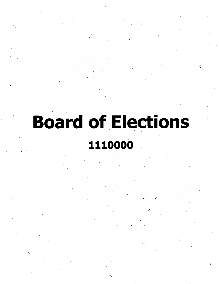# **Board of Elections**

*f*

## **1110000**

I

*f* I

**V**

*\*

*\*

**5**

**\**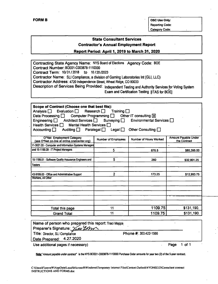**FORM B OSC** Use Only: Reporting Code: Category Code:

#### **State Consultant Services Contractor's Annual Employment Report**

#### **Report Period: April 1. 2019 to March 31. 2020**

**Contracting State Agency Name:** NYS Board of Elections **Agency Code: BOE Contract Number:** BOE01-C003878-1110000 **Contract Term:** 10/31/2018 **to** 10/20/2023 **Contractor Name:** SLI Compliance, a division of Gaming Laboratories Int (GLI, LLC) **Contractor Address:** 4720 Independence Street, Wheat Ridge, CO 80033 **Description of Services Being Provided:** independent Testing and Authority Services for Voting System Exam and Certification Testing [ITAS for BOE]

| Scope of Contract (Choose one that best fits):<br>Evaluation $\Box$ Research $\Box$<br>Analysis <b>□</b><br>Training $\Box$<br>Other IT consulting X<br>Computer Programming $\Box$<br>Data Processing $\Box$<br>Engineering $\Box$ Architect Services $\Box$ Surveying $\Box$<br>Environmental Services $\Box$<br>Health Services $\Box$<br>Mental Health Services $\Box$<br>Other Consulting $\Box$<br>Accounting $\Box$<br>Auditing □ Paralegal □<br>Legal $\Box$ |                            |                               |                                      |  |  |  |
|----------------------------------------------------------------------------------------------------------------------------------------------------------------------------------------------------------------------------------------------------------------------------------------------------------------------------------------------------------------------------------------------------------------------------------------------------------------------|----------------------------|-------------------------------|--------------------------------------|--|--|--|
| <b>O*Net Employment Category</b><br>(see O*Net on-line at online.onetcenter.org)                                                                                                                                                                                                                                                                                                                                                                                     | <b>Number of Employees</b> | <b>Number of Hours Worked</b> | Amount Payable Under<br>the Contract |  |  |  |
| 11-3021.00 - Computer and Information Systems Managers                                                                                                                                                                                                                                                                                                                                                                                                               |                            |                               |                                      |  |  |  |
| and 15-1199.09 - IT Project Managers                                                                                                                                                                                                                                                                                                                                                                                                                                 | 5                          | 676.5                         | \$85,395.00                          |  |  |  |
| 15-1199.01 - Software Quality Assurance Engineers and                                                                                                                                                                                                                                                                                                                                                                                                                | 5                          | 260                           | \$32,801.25                          |  |  |  |
| <b>Testers</b>                                                                                                                                                                                                                                                                                                                                                                                                                                                       |                            |                               |                                      |  |  |  |
| 43-9199.00 - Office and Administrative Support<br><b>Workers, All Other</b>                                                                                                                                                                                                                                                                                                                                                                                          | 2                          | 173.25                        | \$12,993.75                          |  |  |  |
|                                                                                                                                                                                                                                                                                                                                                                                                                                                                      |                            |                               |                                      |  |  |  |
|                                                                                                                                                                                                                                                                                                                                                                                                                                                                      |                            |                               |                                      |  |  |  |
| Total this page                                                                                                                                                                                                                                                                                                                                                                                                                                                      | 11                         | 1109.75                       | \$131,190.                           |  |  |  |
| 1109.75<br>\$131,190.<br>11<br><b>Grand Total</b>                                                                                                                                                                                                                                                                                                                                                                                                                    |                            |                               |                                      |  |  |  |

| Name of person who prepared this report: Traci Mapps |                       |  |             |  |
|------------------------------------------------------|-----------------------|--|-------------|--|
| Preparer's Signature: Yanu UM                        |                       |  |             |  |
| Title: Director, SLI Compliance                      | Phone #: 303.422-1566 |  |             |  |
| Date Prepared: 4.27.2020                             |                       |  |             |  |
| Use additional pages if necessary)                   |                       |  | Page 1 of 1 |  |

*Adde:" Amount payable under contract"* is the NYS BOE01-C003878-1110000 Purchase Order amounts for year two (2) of the 5-year contract.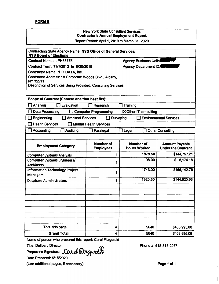#### **FORMB**

#### New York State Consultant Services **Contractor's Annual Employment Report**

Report Period: April 1, 2019 to March 31, 2020

| Contracting State Agency Name: NYS Office of General Services/<br><b>NYS Board of Elections</b> |                                      |                                         |                                                    |
|-------------------------------------------------------------------------------------------------|--------------------------------------|-----------------------------------------|----------------------------------------------------|
| Contract Number: PH65775                                                                        |                                      | Agency Business Unit:                   |                                                    |
| Contract Term: 11/1/2012 to 6/30/2019                                                           |                                      | <b>Agency Department ID:</b>            |                                                    |
| Contractor Name: NTT DATA, Inc.                                                                 |                                      |                                         |                                                    |
| Contractor Address: 18 Corporate Woods Blvd., Albany,                                           |                                      |                                         |                                                    |
| <b>NY 12211</b><br><b>Description of Services Being Provided: Consulting Services</b>           |                                      |                                         |                                                    |
|                                                                                                 |                                      |                                         |                                                    |
| Scope of Contract (Choose one that best fits):                                                  |                                      |                                         |                                                    |
| Analysis<br>Evaluation                                                                          | <b>Research</b>                      | Training                                |                                                    |
| <b>Data Processing</b>                                                                          | <b>Computer Programming</b>          | ⊠Other IT consulting                    |                                                    |
| <b>Architect Services</b><br>Engineering                                                        | Surveying                            |                                         | <b>Environmental Services</b>                      |
| <b>Health Services</b>                                                                          | <b>Mental Health Services</b>        |                                         |                                                    |
| Accounting<br><b>Auditing</b>                                                                   | Paralegal                            | Legal                                   | <b>Other Consulting</b>                            |
|                                                                                                 |                                      |                                         |                                                    |
| <b>Employment Category</b>                                                                      | <b>Number of</b><br><b>Employees</b> | <b>Number of</b><br><b>Hours Worked</b> | <b>Amount Payable</b><br><b>Under the Contract</b> |
| <b>Computer Systems Analysts</b>                                                                | 1                                    | 1878.50                                 | \$144,757.21                                       |
| <b>Computer Systems Engineers/</b>                                                              | 1                                    | 98.00                                   | \$8,174.18                                         |
| <b>Architects</b>                                                                               |                                      |                                         |                                                    |
| <b>Information Technology Project</b><br><b>Managers</b>                                        | 1                                    | 1743.00                                 | \$166,142.76                                       |
| <b>Database Administrators</b>                                                                  | 1                                    | 1920.50                                 | \$144,920.93                                       |
|                                                                                                 |                                      |                                         |                                                    |
|                                                                                                 |                                      |                                         |                                                    |
|                                                                                                 |                                      |                                         |                                                    |
|                                                                                                 |                                      |                                         |                                                    |
|                                                                                                 |                                      |                                         |                                                    |
|                                                                                                 |                                      |                                         |                                                    |
|                                                                                                 |                                      |                                         |                                                    |
|                                                                                                 |                                      |                                         |                                                    |
| Total this page                                                                                 | 4                                    | 5640                                    | \$463,995.08                                       |

Name of person who prepared this report: Carol Fitzgerald<br>Title: Delivery Director

Preparer's Signature: Carolfitzgeralb

Date Prepared: 5/15/2020

(Use additionai pages, if necessary)

Phone#: 518-815-2057

Page <sup>1</sup> of <sup>1</sup>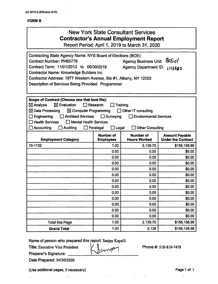÷.

#### **FORMB**

| <b>New York State Consultant Services</b>    |
|----------------------------------------------|
| <b>Contractor's Annual Employment Report</b> |

**Report Period: April 1, 2019 to March 31, 2020**

| Contracting State Agency Name: NYS Board of Elections (BOE)<br>Agency Business Unit: 80Eu/<br><b>Contract Number: PH65776</b><br>Contract Term: 11/01/2012 to 06/30/2019<br><b>Agency Department ID:</b><br>1110000<br><b>Contractor Name: Knowledge Builders Inc.</b><br>Contractor Address: 1977 Western Avenue, Ste #1, Albany, NY 12202<br>Description of Services Being Provided: Programmer                                                                          |                                                                                                                                       |          |              |  |  |  |  |  |
|----------------------------------------------------------------------------------------------------------------------------------------------------------------------------------------------------------------------------------------------------------------------------------------------------------------------------------------------------------------------------------------------------------------------------------------------------------------------------|---------------------------------------------------------------------------------------------------------------------------------------|----------|--------------|--|--|--|--|--|
| Scope of Contract (Choose one that best fits):<br>$\boxtimes$ Evaluation<br>$\boxtimes$ Analysis<br>Research<br>Training<br>$\boxtimes$ Data Processing<br>$\boxtimes$ Computer Programming<br>Other IT consulting<br><b>Architect Services</b><br>$\Box$ Surveying<br>Engineering<br>$\Box$ Environmental Services<br><b>Health Services</b><br>$\Box$ Mental Health Services<br>Paralegal<br>$\square$ Legal<br>Accounting<br><b>Auditing</b><br><b>Other Consulting</b> |                                                                                                                                       |          |              |  |  |  |  |  |
| <b>Employment Category</b>                                                                                                                                                                                                                                                                                                                                                                                                                                                 | <b>Number of</b><br><b>Number of</b><br><b>Amount Payable</b><br><b>Hours Worked</b><br><b>Employees</b><br><b>Under the Contract</b> |          |              |  |  |  |  |  |
| 15-1132                                                                                                                                                                                                                                                                                                                                                                                                                                                                    | 1.00                                                                                                                                  | 2,139.75 | \$156,158.99 |  |  |  |  |  |
|                                                                                                                                                                                                                                                                                                                                                                                                                                                                            | 0.00                                                                                                                                  | 0.00     | \$0.00       |  |  |  |  |  |
|                                                                                                                                                                                                                                                                                                                                                                                                                                                                            | 0.00                                                                                                                                  | 0.00     | \$0.00       |  |  |  |  |  |
|                                                                                                                                                                                                                                                                                                                                                                                                                                                                            | 0.00                                                                                                                                  | 0.00     | \$0.00       |  |  |  |  |  |
|                                                                                                                                                                                                                                                                                                                                                                                                                                                                            | 0.00                                                                                                                                  | 0.00     | \$0.00       |  |  |  |  |  |
|                                                                                                                                                                                                                                                                                                                                                                                                                                                                            | 0.00                                                                                                                                  | 0.00     | \$0.00       |  |  |  |  |  |
|                                                                                                                                                                                                                                                                                                                                                                                                                                                                            | 0.00                                                                                                                                  | 0.00     | \$0.00       |  |  |  |  |  |
|                                                                                                                                                                                                                                                                                                                                                                                                                                                                            | 0.00                                                                                                                                  | 0.00     | \$0.00       |  |  |  |  |  |
|                                                                                                                                                                                                                                                                                                                                                                                                                                                                            | 0.00                                                                                                                                  | 0.00     | \$0.00       |  |  |  |  |  |
|                                                                                                                                                                                                                                                                                                                                                                                                                                                                            | 0.00                                                                                                                                  | 0.00     | \$0.00       |  |  |  |  |  |
|                                                                                                                                                                                                                                                                                                                                                                                                                                                                            | 0.00                                                                                                                                  | 0.00     | \$0.00       |  |  |  |  |  |
|                                                                                                                                                                                                                                                                                                                                                                                                                                                                            | 0.00                                                                                                                                  | 0.00     | \$0.00       |  |  |  |  |  |
|                                                                                                                                                                                                                                                                                                                                                                                                                                                                            | 0.00<br>\$0.00<br>0.00                                                                                                                |          |              |  |  |  |  |  |
| <b>Total this Page</b>                                                                                                                                                                                                                                                                                                                                                                                                                                                     | 1.00                                                                                                                                  | 2,139.75 | \$156,158.99 |  |  |  |  |  |
| 1.00<br>2,139<br>\$156,158.99<br><b>Grand Total</b>                                                                                                                                                                                                                                                                                                                                                                                                                        |                                                                                                                                       |          |              |  |  |  |  |  |

Janvary

Name of person who prepared this report: Sanjay Kapalli

Title: Executive Vice President

Preparer's Signature:

 $\ddot{\phantom{0}}$ 

Date Prepared: 04/30/2020

(Use additional pages, if necessary) example 2 and 2 and 2 and 2 and 2 and 2 and 2 and 2 and 2 and 2 and 2 and 2 and 2 and 2 and 2 and 2 and 2 and 2 and 2 and 2 and 2 and 2 and 2 and 2 and 2 and 2 and 2 and 2 and 2 and 2 a

 $\ddot{\phantom{a}}$ 

Phone #: 518-810-7478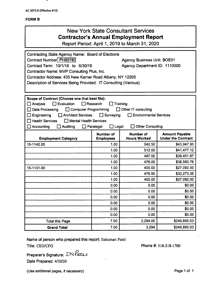$\sim$   $\sim$ 

#### FORM B

| <b>New York State Consultant Services</b><br><b>Contractor's Annual Employment Report</b><br>Report Period: April 1, 2019 to March 31, 2020                                                                                                                                                                                                                                                                                        |      |          |              |  |  |  |  |
|------------------------------------------------------------------------------------------------------------------------------------------------------------------------------------------------------------------------------------------------------------------------------------------------------------------------------------------------------------------------------------------------------------------------------------|------|----------|--------------|--|--|--|--|
| <b>Contracting State Agency Name: Board of Elections</b><br>Contract Number: PH65780<br><b>Agency Business Unit: BOE01</b><br>Contract Term: 10/1/18 to 6/30/19<br>Agency Department ID: 1110000<br>Contractor Name: MVP Consulting Plus, Inc.<br>Contractor Address: 435 New Karner Road Albany, NY 12205<br>Description of Services Being Provided: IT Consulting (Various)                                                      |      |          |              |  |  |  |  |
| Scope of Contract (Choose one that best fits):<br>$\Box$ Evaluation<br>$\Box$ Research<br>Training<br>Analysis<br>Data Processing<br>Computer Programming<br>□ Other IT consulting<br>Surveying<br>Engineering<br><b>Architect Services</b><br><b>Environmental Services</b><br>$\mathsf{L}$<br><b>Health Services</b><br>Mental Health Services<br><b>Other Consulting</b><br>Accounting<br>Auditing<br>$\Box$ Legal<br>Paralegal |      |          |              |  |  |  |  |
| <b>Number of</b><br><b>Number of</b><br><b>Amount Payable</b><br><b>Under the Contract</b><br><b>Hours Worked</b><br><b>Employees</b><br><b>Employment Category</b>                                                                                                                                                                                                                                                                |      |          |              |  |  |  |  |
| 15-1142.00                                                                                                                                                                                                                                                                                                                                                                                                                         | 1.00 | 542.50   | \$43,947.93  |  |  |  |  |
|                                                                                                                                                                                                                                                                                                                                                                                                                                    | 1.00 | 512.00   | \$41,477.12  |  |  |  |  |
|                                                                                                                                                                                                                                                                                                                                                                                                                                    | 1.00 | 487.00   | \$39,451.87  |  |  |  |  |
|                                                                                                                                                                                                                                                                                                                                                                                                                                    | 1.00 | 476.00   | \$38,560.76  |  |  |  |  |
| 15-1131.00                                                                                                                                                                                                                                                                                                                                                                                                                         | 1.00 | 400.00   | \$27,092.00  |  |  |  |  |
|                                                                                                                                                                                                                                                                                                                                                                                                                                    | 1.00 | 476.50   | \$32,273.35  |  |  |  |  |
|                                                                                                                                                                                                                                                                                                                                                                                                                                    | 1.00 | 400.00   | \$27,092.00  |  |  |  |  |
|                                                                                                                                                                                                                                                                                                                                                                                                                                    | 0.00 | 0.00     | \$0.00       |  |  |  |  |
|                                                                                                                                                                                                                                                                                                                                                                                                                                    | 0.00 | 0.00     | \$0.00       |  |  |  |  |
|                                                                                                                                                                                                                                                                                                                                                                                                                                    | 0.00 | 0.00     | \$0.00       |  |  |  |  |
|                                                                                                                                                                                                                                                                                                                                                                                                                                    | 0.00 | 0.00     | \$0.00       |  |  |  |  |
|                                                                                                                                                                                                                                                                                                                                                                                                                                    | 0.00 | 0.00     | \$0.00       |  |  |  |  |
|                                                                                                                                                                                                                                                                                                                                                                                                                                    | 0.00 | 0.00     | \$0.00       |  |  |  |  |
| <b>Total this Page</b>                                                                                                                                                                                                                                                                                                                                                                                                             | 7.00 | 3,294.00 | \$249,895.03 |  |  |  |  |
| \$249,895.03<br>3,294<br>7.00<br><b>Grand Total</b>                                                                                                                                                                                                                                                                                                                                                                                |      |          |              |  |  |  |  |

Name of person who prepared this report: Ilakumari Patel Title: CEO/CFO **Phone #: 518-218-1700** 

: *LN&Cla* Preparer's Signature: Date Prepared: 4/30/20

(Use additional pages, if necessary) example 2 and 2 and 2 and 2 and 2 and 2 and 2 and 2 and 2 and 2 and 2 and 2 and 2 and 2 and 2 and 2 and 2 and 2 and 2 and 2 and 2 and 2 and 2 and 2 and 2 and 2 and 2 and 2 and 2 and 2 a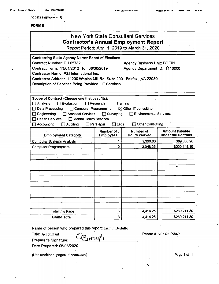|  | From: Prakash Mehta |  |
|--|---------------------|--|
|--|---------------------|--|

 $AC$  **3272-S** (Effective 4/12)

#### **FORMB**

| <b>New York State Consultant Services</b><br><b>Contractor's Annual Employment Report</b><br>Report Period: April 1, 2019 to March 31, 2020                                                                                                                                                                                                                                                                                                              |                          |                                                                     |                                                    |  |  |  |  |
|----------------------------------------------------------------------------------------------------------------------------------------------------------------------------------------------------------------------------------------------------------------------------------------------------------------------------------------------------------------------------------------------------------------------------------------------------------|--------------------------|---------------------------------------------------------------------|----------------------------------------------------|--|--|--|--|
| <b>Contracting State Agency Name: Board of Elections</b><br>Contract Number: PH 65782<br>Contract Term: 11/01/2012 to 06/30/2019<br>Contractor Name: PSI International Inc.<br>Contractor Address: 11200 Waples Mill Rd, Suite 200 Fairfax, VA 22030<br>Description of Services Being Provided: IT Services                                                                                                                                              |                          | <b>Agency Business Unit: BOE01</b><br>Agency Department ID: 1110000 |                                                    |  |  |  |  |
| Scope of Contract (Choose one that best fits):<br>□ Analysis<br>$\Box$ Evaluation<br>$\Box$ Research<br>Training<br>Data Processing<br>Computer Programming<br>$\boxtimes$ Other IT consulting<br>Engineering<br><b>Architect Services</b><br>$\Box$ Surveying<br><b>Environmental Services</b><br>□ Health Services<br>$\Box$ Mental Health Services<br><b>Other Consulting</b><br>$\Box$ Accounting<br>Auditing<br>$\Box$ Paralegal<br>$\square$ Legal |                          |                                                                     |                                                    |  |  |  |  |
| <b>Employment Category</b>                                                                                                                                                                                                                                                                                                                                                                                                                               | Number of<br>· Employees | <b>Number of</b><br><b>Hours Worked</b>                             | <b>Amount Payable</b><br><b>Under the Contract</b> |  |  |  |  |
| Computer Systems Analysts                                                                                                                                                                                                                                                                                                                                                                                                                                | 1                        | 1,366.00                                                            | \$89,063.20                                        |  |  |  |  |
| <b>Computer Programmers</b>                                                                                                                                                                                                                                                                                                                                                                                                                              | $\overline{2}$           | 3,048.25                                                            | \$200,148.10                                       |  |  |  |  |
|                                                                                                                                                                                                                                                                                                                                                                                                                                                          |                          |                                                                     |                                                    |  |  |  |  |
|                                                                                                                                                                                                                                                                                                                                                                                                                                                          |                          |                                                                     |                                                    |  |  |  |  |
|                                                                                                                                                                                                                                                                                                                                                                                                                                                          |                          |                                                                     | ∽                                                  |  |  |  |  |
|                                                                                                                                                                                                                                                                                                                                                                                                                                                          |                          |                                                                     |                                                    |  |  |  |  |
|                                                                                                                                                                                                                                                                                                                                                                                                                                                          |                          |                                                                     |                                                    |  |  |  |  |
|                                                                                                                                                                                                                                                                                                                                                                                                                                                          |                          |                                                                     |                                                    |  |  |  |  |
|                                                                                                                                                                                                                                                                                                                                                                                                                                                          |                          |                                                                     |                                                    |  |  |  |  |
|                                                                                                                                                                                                                                                                                                                                                                                                                                                          |                          |                                                                     |                                                    |  |  |  |  |
| $\ddot{\phantom{a}}$                                                                                                                                                                                                                                                                                                                                                                                                                                     |                          |                                                                     |                                                    |  |  |  |  |
| <b>Total this Page</b>                                                                                                                                                                                                                                                                                                                                                                                                                                   | 3                        | 4,414.25                                                            | \$289,211.30                                       |  |  |  |  |
| 3<br>4,414.25<br>\$289,211.30<br><b>Grand Total</b>                                                                                                                                                                                                                                                                                                                                                                                                      |                          |                                                                     |                                                    |  |  |  |  |

**Name of person who prepared this report:** Jasmin Bertulfo

Bertruf,

**Title:** Accountant

**Preparer's Signature:**

**Date Prepared: 05/08/2020**

(Use additional pages, if necessary) example the control of the control of the Page 1 of 1

Phone #: 703.621.5849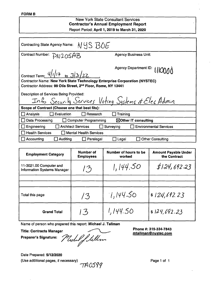#### **FORM B**

#### New York State Consultant Services **Contractor's Annual Employment Report** Report Period: April 1, 2019 to March 31, 2020

| Contracting State Agency Name: NYS BOE                                                                                                                                         |                                  |  |  |  |
|--------------------------------------------------------------------------------------------------------------------------------------------------------------------------------|----------------------------------|--|--|--|
| Contract Number: PN205AB                                                                                                                                                       | <b>Agency Business Unit:</b>     |  |  |  |
| Agency Department ID: [ICOOO<br>Contract Term: $\frac{i}{i}$   $i$   $i$ + to $\frac{3}{3}$   22<br>Contractor Name: New York State Technology Enterprise Corporation (NYSTEC) |                                  |  |  |  |
| Contractor Address: 99 Otis Street, 2 <sup>nd</sup> Floor, Rome, NY 13441<br>Description of Services Being Provided:<br>Info Security Services Voting Systems & Elec Admin     |                                  |  |  |  |
| Scope of Contract (Choose one that best fits):                                                                                                                                 |                                  |  |  |  |
| $\Box$ Evaluation<br>Analysis<br>Research                                                                                                                                      | Training                         |  |  |  |
| Data Processing<br>$\boxtimes$ Other IT consulting<br>□ Computer Programming                                                                                                   |                                  |  |  |  |
| <b>Architect Services</b><br>Engineering<br>Surveying                                                                                                                          | <b>Environmental Services</b>    |  |  |  |
| <b>Health Services</b><br><b>Mental Health Services</b>                                                                                                                        |                                  |  |  |  |
| <b>Auditing</b><br>Accounting<br>Paralegal                                                                                                                                     | <b>Other Consulting</b><br>Legal |  |  |  |

| <b>Employment Category</b>                                    | <b>Number of</b><br><b>Employees</b> | Number of hours to be<br>worked | <b>Amount Payable Under</b><br>the Contract |
|---------------------------------------------------------------|--------------------------------------|---------------------------------|---------------------------------------------|
| 11-3021.00 Computer and<br><b>Information Systems Manager</b> | $\mathcal{F}_{\mathcal{D}}$          | 1,144.50                        | \$124,692.23                                |
|                                                               |                                      |                                 |                                             |
|                                                               |                                      |                                 |                                             |
| Total this page                                               | /3                                   | 1,144.50                        | \$124,692.23                                |
| <b>Grand Total</b>                                            | 13                                   | 1,144.50                        | \$124,692.23                                |

Name of person who prepared this report: Michael J. Tallman

Title: Contracts Manager

Preparer's Signature:

Mechel flellm

Phone #: 315-334-7843 [mtallman@nvstec.com](mailto:mtallman@nvstec.com)

Date Prepared: **5/12/2020** (Use additional pages, if necessary)  $\neg AOS99$  Page 1 of 1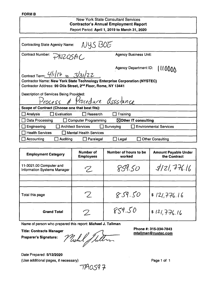#### **FORMS**

#### **New York State Consultant Services Contractor's Annual Employment Report** Report Period; **April 1, 2019 to March 31, 2020**

| NYS BOE<br><b>Contracting State Agency Name:</b>                                                                                                        |                                         |  |  |  |
|---------------------------------------------------------------------------------------------------------------------------------------------------------|-----------------------------------------|--|--|--|
| <b>Contract Number:</b><br>PNZOSAC                                                                                                                      | <b>Agency Business Unit:</b>            |  |  |  |
| Contract Term: $\frac{U I /7}{10}$ to $\frac{3}{3}$ /22                                                                                                 | <b>Agency Department ID:</b><br>111000A |  |  |  |
| Contractor Name: New York State Technology Enterprise Corporation (NYSTEC)<br>Contractor Address: 99 Otis Street, 2 <sup>nd</sup> Floor, Rome, NY 13441 |                                         |  |  |  |
| Description of Services Being Provided:<br>Process & Procedure assistance                                                                               |                                         |  |  |  |
| Scope of Contract (Choose one that best fits):                                                                                                          |                                         |  |  |  |
| Evaluation<br>Analysis<br>Research                                                                                                                      | Training                                |  |  |  |
| Data Processing<br><b>Computer Programming</b>                                                                                                          | $\boxtimes$ Other IT consulting         |  |  |  |
| Engineering<br><b>Architect Services</b><br>Surveying                                                                                                   | <b>Environmental Services</b>           |  |  |  |
| $\Box$ Health Services<br>□ Mental Health Services                                                                                                      |                                         |  |  |  |
| Accounting<br>Auditing<br>Paralegal                                                                                                                     | <b>Other Consulting</b><br>Legal        |  |  |  |

| <b>Employment Category</b>                                    | <b>Number of</b><br><b>Employees</b>                      | Number of hours to be<br>worked | <b>Amount Payable Under</b><br>the Contract |
|---------------------------------------------------------------|-----------------------------------------------------------|---------------------------------|---------------------------------------------|
| 11-3021.00 Computer and<br><b>Information Systems Manager</b> | $\mathcal{P}_{\mathbb{Z}}$                                | 859.50                          | 3/21,776.16                                 |
|                                                               |                                                           |                                 |                                             |
|                                                               |                                                           |                                 |                                             |
| Total this page                                               | $\mathcal{L}$                                             | 859.50                          | \$121,776.16                                |
| <b>Grand Total</b>                                            | $\mathcal{Z}% _{M_{1},M_{2}}^{\alpha,\beta}(\varepsilon)$ | 859.50                          | \$121.776.16                                |

Name of person who prepared this report: **Michael J. Tallman**

**Title: Contracts Manager**

**Preparer's Signature:**

Mehl Julton

**Phone #: 315-334-7843 [mtallman@nvstec.com](mailto:mtallman@nvstec.com)**

Date Prepared: **5/12/2020** (Use additional pages, if necessary) example the example of the Page 1 of 1

'7^05'? 7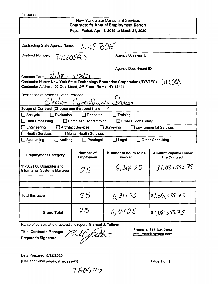#### **FORM B**

#### **New York State Consultant Services Contractor's Annual Employment Report** Report Period: **April 1, 2019 to March 31, 2020**

| NYS BOE<br><b>Contracting State Agency Name:</b>                                                                                                                                               |                                                   |  |  |  |
|------------------------------------------------------------------------------------------------------------------------------------------------------------------------------------------------|---------------------------------------------------|--|--|--|
| <b>Contract Number:</b><br>PNZOSAD                                                                                                                                                             | <b>Agency Business Unit:</b>                      |  |  |  |
|                                                                                                                                                                                                | <b>Agency Department ID:</b>                      |  |  |  |
| Contract Term: $10/1/18$ to $9/30/21$<br>111000<br>Contractor Name: New York State Technology Enterprise Corporation (NYSTEC)<br>Contractor Address: 99 Otis Street, 2nd Floor, Rome, NY 13441 |                                                   |  |  |  |
| Description of Services Being Provided:<br>Election CyberSecurity Unices                                                                                                                       |                                                   |  |  |  |
| Scope of Contract (Choose one that best fits):                                                                                                                                                 |                                                   |  |  |  |
| Evaluation<br>$\Box$ Analysis<br>Research                                                                                                                                                      | Training                                          |  |  |  |
| $\Box$ Data Processing<br>$\boxtimes$ Other IT consulting<br><b>Computer Programming</b><br>H                                                                                                  |                                                   |  |  |  |
| $\Box$ Engineering<br><b>Architect Services</b>                                                                                                                                                | $\Box$ Surveying<br><b>Environmental Services</b> |  |  |  |
| <b>Health Services</b><br><b>Mental Health Services</b>                                                                                                                                        |                                                   |  |  |  |
| $\Box$ Accounting<br>Auditing<br>$\Box$ Paralegal                                                                                                                                              | <b>Other Consulting</b><br>Legal                  |  |  |  |

| <b>Employment Category</b>                                    | Number of<br><b>Employees</b> | Number of hours to be<br>worked | <b>Amount Payable Under</b><br>the Contract |
|---------------------------------------------------------------|-------------------------------|---------------------------------|---------------------------------------------|
| 11-3021.00 Computer and<br><b>Information Systems Manager</b> | 25                            | 6,314.25                        | 81,081,555.75                               |
|                                                               |                               |                                 |                                             |
| Total this page                                               | $25 -$                        | 6,314.25                        | \$1,081,555.75                              |
| <b>Grand Total</b>                                            | 25                            | 6,314.25                        | \$1,081,555.75                              |

Name of person who prepared this report: **Michael J. Tallman**

**Title: Contracts Manager Preparer's Signature:**

Jult Ucchil

**Phone #: 315-334-7843 [mtallman@nvstec.com](mailto:mtallman@nvstec.com)**

Date Prepared: **5/12/2020** (Use additional pages, if necessary) example the example of the Page 1 of 1

TA0672